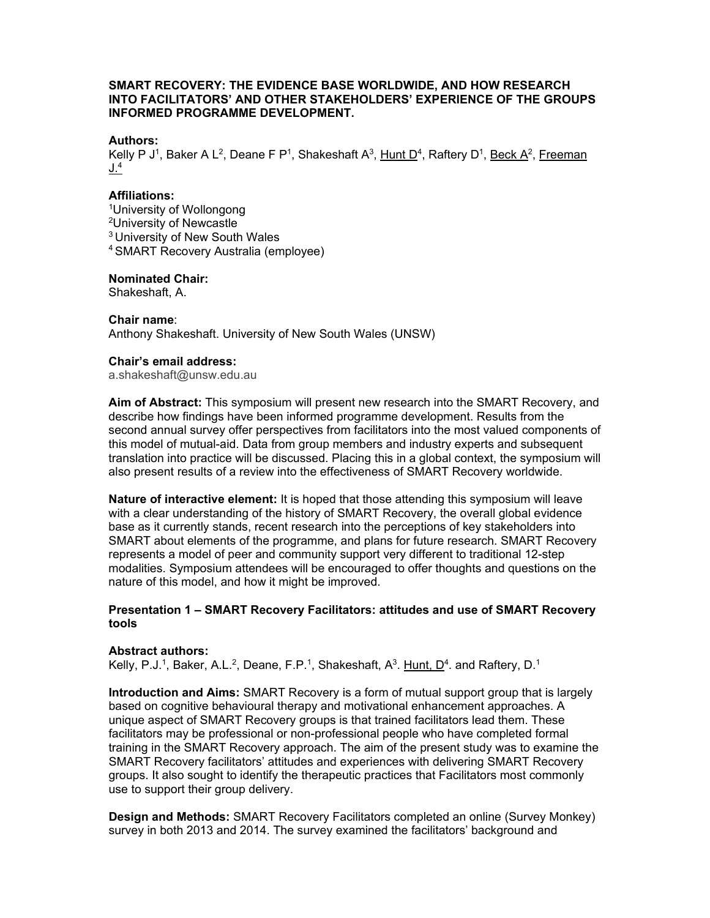# **SMART RECOVERY: THE EVIDENCE BASE WORLDWIDE, AND HOW RESEARCH INTO FACILITATORS' AND OTHER STAKEHOLDERS' EXPERIENCE OF THE GROUPS INFORMED PROGRAMME DEVELOPMENT.**

## **Authors:**

Kelly P J<sup>1</sup>, Baker A L<sup>2</sup>, Deane F P<sup>1</sup>, Shakeshaft A<sup>3</sup>, Hunt D<sup>4</sup>, Raftery D<sup>1</sup>, Beck A<sup>2</sup>, Freeman  $J^4$ 

## **Affiliations:**

1 University of Wollongong 2 University of Newcastle 3 University of New South Wales 4 SMART Recovery Australia (employee)

### **Nominated Chair:**

Shakeshaft, A.

# **Chair name**:

Anthony Shakeshaft. University of New South Wales (UNSW)

## **Chair's email address:**

a.shakeshaft@unsw.edu.au

**Aim of Abstract:** This symposium will present new research into the SMART Recovery, and describe how findings have been informed programme development. Results from the second annual survey offer perspectives from facilitators into the most valued components of this model of mutual-aid. Data from group members and industry experts and subsequent translation into practice will be discussed. Placing this in a global context, the symposium will also present results of a review into the effectiveness of SMART Recovery worldwide.

**Nature of interactive element:** It is hoped that those attending this symposium will leave with a clear understanding of the history of SMART Recovery, the overall global evidence base as it currently stands, recent research into the perceptions of key stakeholders into SMART about elements of the programme, and plans for future research. SMART Recovery represents a model of peer and community support very different to traditional 12-step modalities. Symposium attendees will be encouraged to offer thoughts and questions on the nature of this model, and how it might be improved.

# **Presentation 1 – SMART Recovery Facilitators: attitudes and use of SMART Recovery tools**

### **Abstract authors:**

Kelly, P.J.<sup>1</sup>, Baker, A.L.<sup>2</sup>, Deane, F.P.<sup>1</sup>, Shakeshaft, A<sup>3</sup>. Hunt, D<sup>4</sup>. and Raftery, D.<sup>1</sup>

**Introduction and Aims:** SMART Recovery is a form of mutual support group that is largely based on cognitive behavioural therapy and motivational enhancement approaches. A unique aspect of SMART Recovery groups is that trained facilitators lead them. These facilitators may be professional or non-professional people who have completed formal training in the SMART Recovery approach. The aim of the present study was to examine the SMART Recovery facilitators' attitudes and experiences with delivering SMART Recovery groups. It also sought to identify the therapeutic practices that Facilitators most commonly use to support their group delivery.

**Design and Methods:** SMART Recovery Facilitators completed an online (Survey Monkey) survey in both 2013 and 2014. The survey examined the facilitators' background and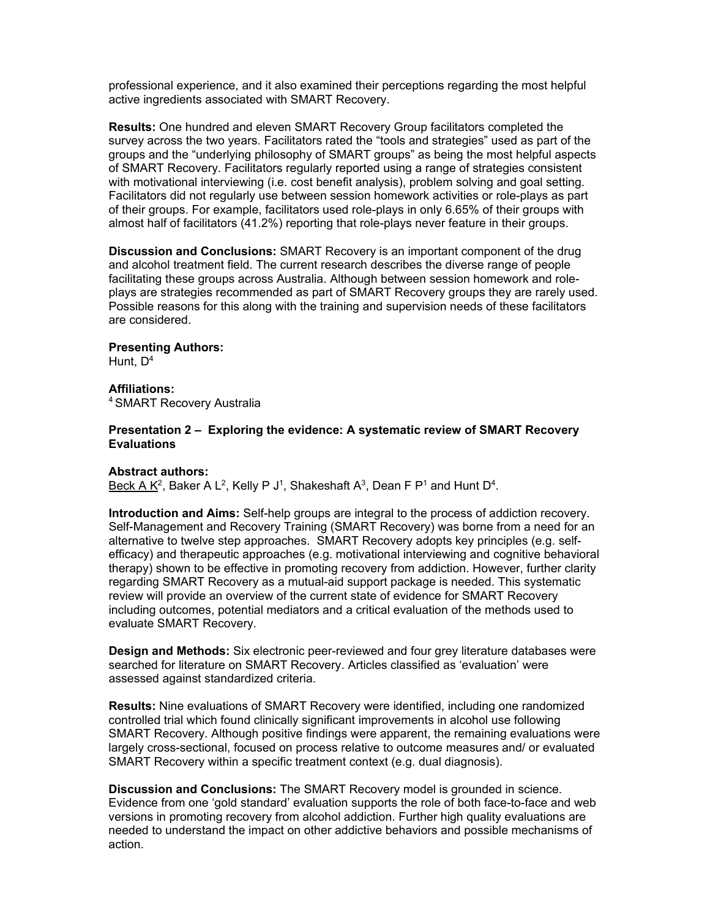professional experience, and it also examined their perceptions regarding the most helpful active ingredients associated with SMART Recovery.

**Results:** One hundred and eleven SMART Recovery Group facilitators completed the survey across the two years. Facilitators rated the "tools and strategies" used as part of the groups and the "underlying philosophy of SMART groups" as being the most helpful aspects of SMART Recovery. Facilitators regularly reported using a range of strategies consistent with motivational interviewing (i.e. cost benefit analysis), problem solving and goal setting. Facilitators did not regularly use between session homework activities or role-plays as part of their groups. For example, facilitators used role-plays in only 6.65% of their groups with almost half of facilitators (41.2%) reporting that role-plays never feature in their groups.

**Discussion and Conclusions:** SMART Recovery is an important component of the drug and alcohol treatment field. The current research describes the diverse range of people facilitating these groups across Australia. Although between session homework and roleplays are strategies recommended as part of SMART Recovery groups they are rarely used. Possible reasons for this along with the training and supervision needs of these facilitators are considered.

# **Presenting Authors:**

Hunt,  $D^4$ 

**Affiliations:** 4 SMART Recovery Australia

# **Presentation 2 – Exploring the evidence: A systematic review of SMART Recovery Evaluations**

# **Abstract authors:**

Beck A  $K^2$ , Baker A L<sup>2</sup>, Kelly P J<sup>1</sup>, Shakeshaft A<sup>3</sup>, Dean F P<sup>1</sup> and Hunt D<sup>4</sup>.

**Introduction and Aims:** Self-help groups are integral to the process of addiction recovery. Self-Management and Recovery Training (SMART Recovery) was borne from a need for an alternative to twelve step approaches. SMART Recovery adopts key principles (e.g. selfefficacy) and therapeutic approaches (e.g. motivational interviewing and cognitive behavioral therapy) shown to be effective in promoting recovery from addiction. However, further clarity regarding SMART Recovery as a mutual-aid support package is needed. This systematic review will provide an overview of the current state of evidence for SMART Recovery including outcomes, potential mediators and a critical evaluation of the methods used to evaluate SMART Recovery.

**Design and Methods:** Six electronic peer-reviewed and four grey literature databases were searched for literature on SMART Recovery. Articles classified as 'evaluation' were assessed against standardized criteria.

**Results:** Nine evaluations of SMART Recovery were identified, including one randomized controlled trial which found clinically significant improvements in alcohol use following SMART Recovery. Although positive findings were apparent, the remaining evaluations were largely cross-sectional, focused on process relative to outcome measures and/ or evaluated SMART Recovery within a specific treatment context (e.g. dual diagnosis).

**Discussion and Conclusions:** The SMART Recovery model is grounded in science. Evidence from one 'gold standard' evaluation supports the role of both face-to-face and web versions in promoting recovery from alcohol addiction. Further high quality evaluations are needed to understand the impact on other addictive behaviors and possible mechanisms of action.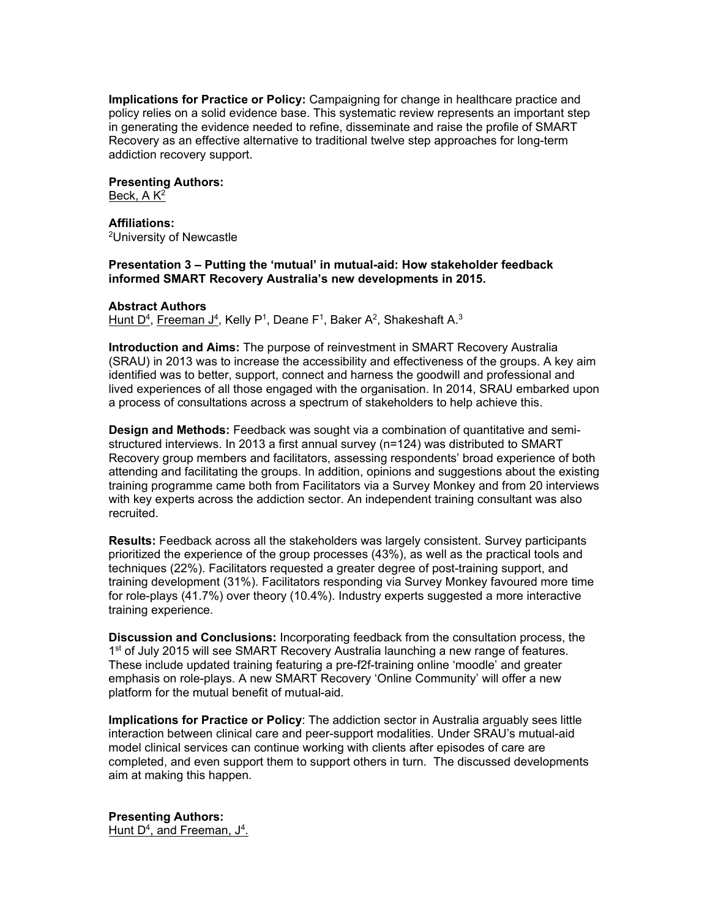**Implications for Practice or Policy:** Campaigning for change in healthcare practice and policy relies on a solid evidence base. This systematic review represents an important step in generating the evidence needed to refine, disseminate and raise the profile of SMART Recovery as an effective alternative to traditional twelve step approaches for long-term addiction recovery support.

**Presenting Authors:**

Beck,  $A K<sup>2</sup>$ 

**Affiliations:** 2 University of Newcastle

# **Presentation 3 – Putting the 'mutual' in mutual-aid: How stakeholder feedback informed SMART Recovery Australia's new developments in 2015.**

# **Abstract Authors**

Hunt D<sup>4</sup>, Freeman J<sup>4</sup>, Kelly P<sup>1</sup>, Deane F<sup>1</sup>, Baker A<sup>2</sup>, Shakeshaft A.<sup>3</sup>

**Introduction and Aims:** The purpose of reinvestment in SMART Recovery Australia (SRAU) in 2013 was to increase the accessibility and effectiveness of the groups. A key aim identified was to better, support, connect and harness the goodwill and professional and lived experiences of all those engaged with the organisation. In 2014, SRAU embarked upon a process of consultations across a spectrum of stakeholders to help achieve this.

**Design and Methods:** Feedback was sought via a combination of quantitative and semistructured interviews. In 2013 a first annual survey (n=124) was distributed to SMART Recovery group members and facilitators, assessing respondents' broad experience of both attending and facilitating the groups. In addition, opinions and suggestions about the existing training programme came both from Facilitators via a Survey Monkey and from 20 interviews with key experts across the addiction sector. An independent training consultant was also recruited.

**Results:** Feedback across all the stakeholders was largely consistent. Survey participants prioritized the experience of the group processes (43%), as well as the practical tools and techniques (22%). Facilitators requested a greater degree of post-training support, and training development (31%). Facilitators responding via Survey Monkey favoured more time for role-plays (41.7%) over theory (10.4%). Industry experts suggested a more interactive training experience.

**Discussion and Conclusions:** Incorporating feedback from the consultation process, the 1<sup>st</sup> of July 2015 will see SMART Recovery Australia launching a new range of features. These include updated training featuring a pre-f2f-training online 'moodle' and greater emphasis on role-plays. A new SMART Recovery 'Online Community' will offer a new platform for the mutual benefit of mutual-aid.

**Implications for Practice or Policy**: The addiction sector in Australia arguably sees little interaction between clinical care and peer-support modalities. Under SRAU's mutual-aid model clinical services can continue working with clients after episodes of care are completed, and even support them to support others in turn. The discussed developments aim at making this happen.

**Presenting Authors:** Hunt D<sup>4</sup>, and Freeman, J<sup>4</sup>.